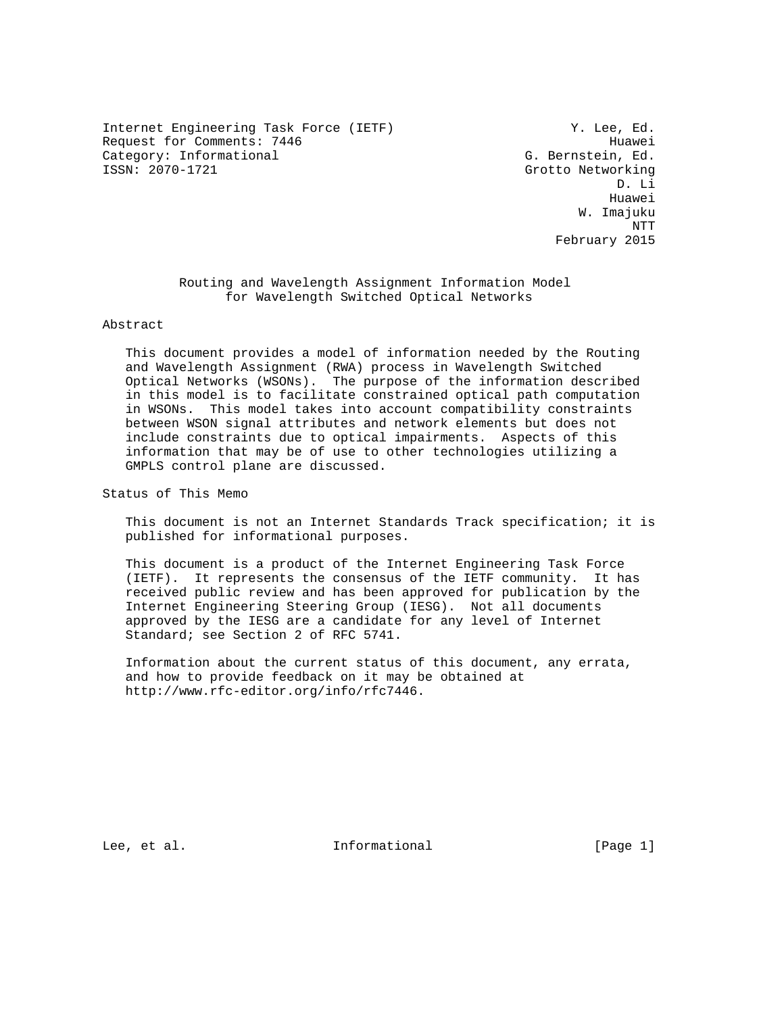Internet Engineering Task Force (IETF) The Manuscript of M. Lee, Ed. Request for Comments: 7446 Huawei Category: Informational G. Bernstein, Ed. (Gategory: Informational G. Bernstein, Ed. (Gategory: 1997)

Grotto Networking D. Li he distributed by the control of the control of the control of the control of the control of the control of the control of the control of the control of the control of the control of the control of the control of the contr W. Imajuku NTT February 2015

> Routing and Wavelength Assignment Information Model for Wavelength Switched Optical Networks

#### Abstract

 This document provides a model of information needed by the Routing and Wavelength Assignment (RWA) process in Wavelength Switched Optical Networks (WSONs). The purpose of the information described in this model is to facilitate constrained optical path computation in WSONs. This model takes into account compatibility constraints between WSON signal attributes and network elements but does not include constraints due to optical impairments. Aspects of this information that may be of use to other technologies utilizing a GMPLS control plane are discussed.

Status of This Memo

 This document is not an Internet Standards Track specification; it is published for informational purposes.

 This document is a product of the Internet Engineering Task Force (IETF). It represents the consensus of the IETF community. It has received public review and has been approved for publication by the Internet Engineering Steering Group (IESG). Not all documents approved by the IESG are a candidate for any level of Internet Standard; see Section 2 of RFC 5741.

 Information about the current status of this document, any errata, and how to provide feedback on it may be obtained at http://www.rfc-editor.org/info/rfc7446.

Lee, et al. Informational [Page 1]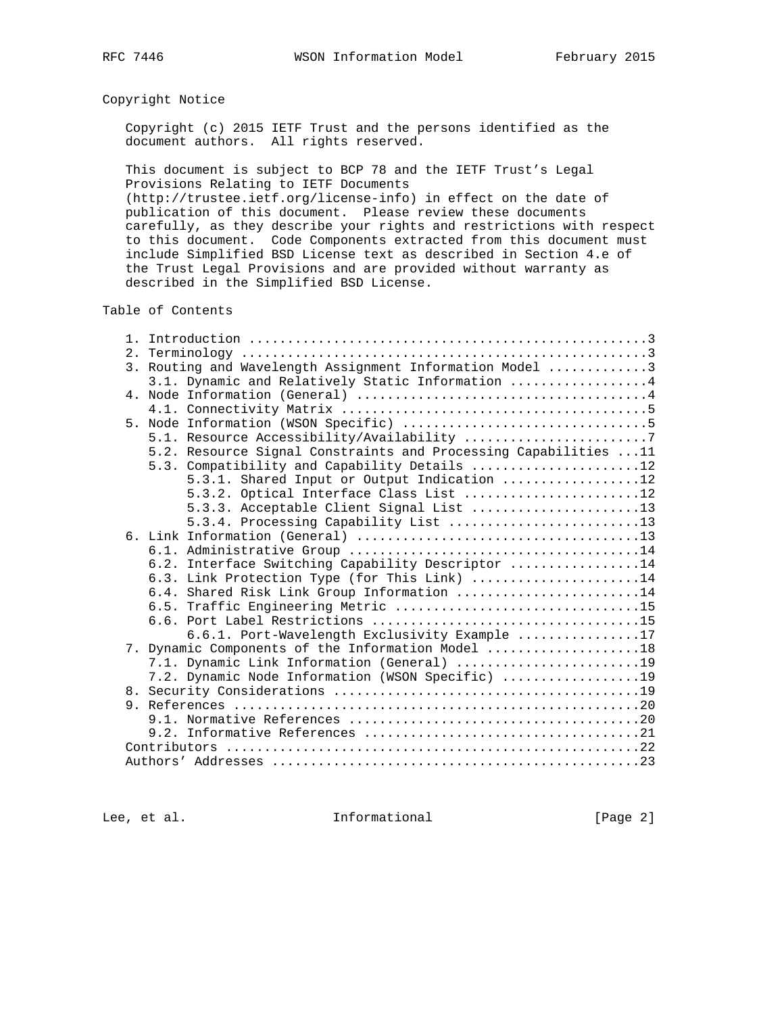# Copyright Notice

 Copyright (c) 2015 IETF Trust and the persons identified as the document authors. All rights reserved.

 This document is subject to BCP 78 and the IETF Trust's Legal Provisions Relating to IETF Documents

 (http://trustee.ietf.org/license-info) in effect on the date of publication of this document. Please review these documents carefully, as they describe your rights and restrictions with respect to this document. Code Components extracted from this document must include Simplified BSD License text as described in Section 4.e of the Trust Legal Provisions and are provided without warranty as described in the Simplified BSD License.

### Table of Contents

| 2.1 |                                                                 |
|-----|-----------------------------------------------------------------|
|     | 3. Routing and Wavelength Assignment Information Model 3        |
|     | 3.1. Dynamic and Relatively Static Information 4                |
|     |                                                                 |
|     |                                                                 |
|     |                                                                 |
|     | 5.1. Resource Accessibility/Availability 7                      |
|     | 5.2. Resource Signal Constraints and Processing Capabilities 11 |
|     | 5.3. Compatibility and Capability Details 12                    |
|     | 5.3.1. Shared Input or Output Indication 12                     |
|     | 5.3.2. Optical Interface Class List 12                          |
|     | 5.3.3. Acceptable Client Signal List 13                         |
|     | 5.3.4. Processing Capability List 13                            |
|     |                                                                 |
|     |                                                                 |
|     | 6.2. Interface Switching Capability Descriptor 14               |
|     | 6.3. Link Protection Type (for This Link) 14                    |
|     | 6.4. Shared Risk Link Group Information 14                      |
|     |                                                                 |
|     |                                                                 |
|     | 6.6.1. Port-Wavelength Exclusivity Example 17                   |
|     | 7. Dynamic Components of the Information Model 18               |
|     | 7.1. Dynamic Link Information (General) 19                      |
|     | 7.2. Dynamic Node Information (WSON Specific) 19                |
|     |                                                                 |
|     |                                                                 |
|     |                                                                 |
|     |                                                                 |
|     |                                                                 |
|     |                                                                 |

Lee, et al. 10 methormational [Page 2]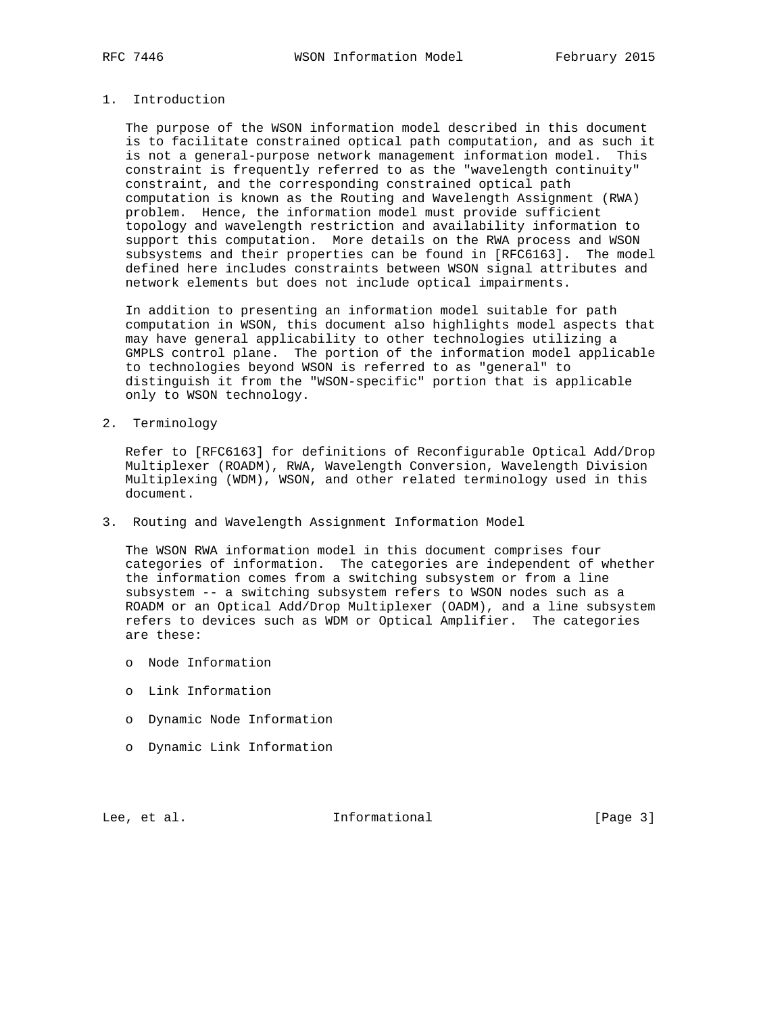## 1. Introduction

 The purpose of the WSON information model described in this document is to facilitate constrained optical path computation, and as such it is not a general-purpose network management information model. This constraint is frequently referred to as the "wavelength continuity" constraint, and the corresponding constrained optical path computation is known as the Routing and Wavelength Assignment (RWA) problem. Hence, the information model must provide sufficient topology and wavelength restriction and availability information to support this computation. More details on the RWA process and WSON subsystems and their properties can be found in [RFC6163]. The model defined here includes constraints between WSON signal attributes and network elements but does not include optical impairments.

 In addition to presenting an information model suitable for path computation in WSON, this document also highlights model aspects that may have general applicability to other technologies utilizing a GMPLS control plane. The portion of the information model applicable to technologies beyond WSON is referred to as "general" to distinguish it from the "WSON-specific" portion that is applicable only to WSON technology.

2. Terminology

 Refer to [RFC6163] for definitions of Reconfigurable Optical Add/Drop Multiplexer (ROADM), RWA, Wavelength Conversion, Wavelength Division Multiplexing (WDM), WSON, and other related terminology used in this document.

3. Routing and Wavelength Assignment Information Model

 The WSON RWA information model in this document comprises four categories of information. The categories are independent of whether the information comes from a switching subsystem or from a line subsystem -- a switching subsystem refers to WSON nodes such as a ROADM or an Optical Add/Drop Multiplexer (OADM), and a line subsystem refers to devices such as WDM or Optical Amplifier. The categories are these:

- o Node Information
- o Link Information
- o Dynamic Node Information
- o Dynamic Link Information

Lee, et al. Informational [Page 3]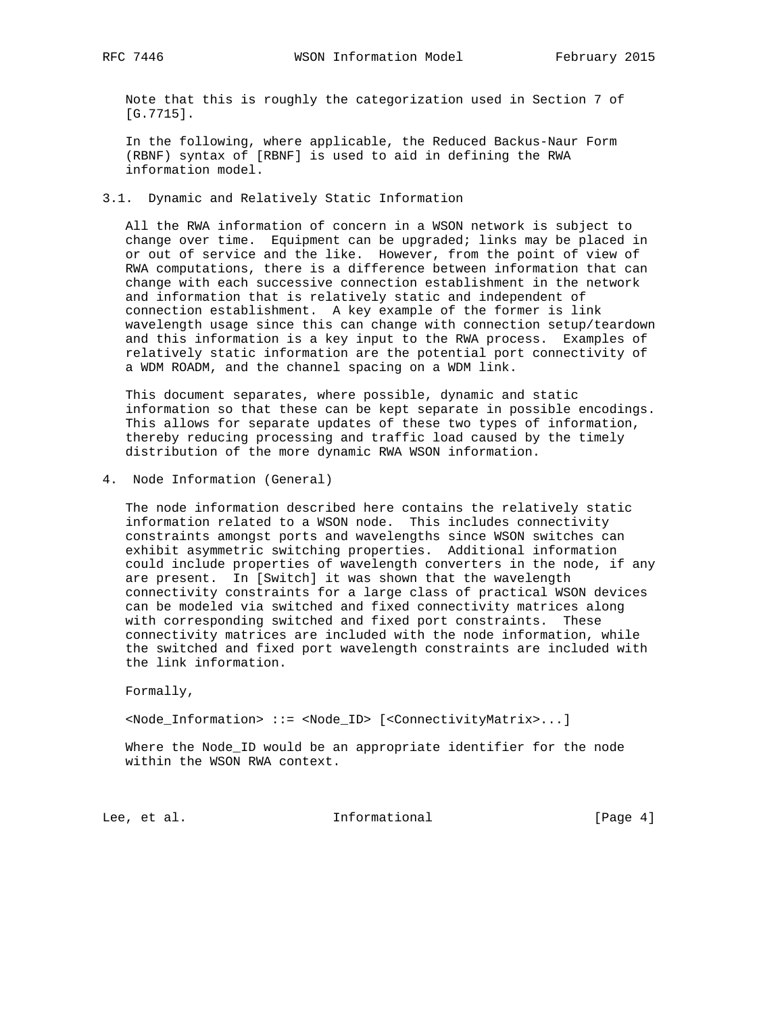Note that this is roughly the categorization used in Section 7 of [G.7715].

 In the following, where applicable, the Reduced Backus-Naur Form (RBNF) syntax of [RBNF] is used to aid in defining the RWA information model.

3.1. Dynamic and Relatively Static Information

 All the RWA information of concern in a WSON network is subject to change over time. Equipment can be upgraded; links may be placed in or out of service and the like. However, from the point of view of RWA computations, there is a difference between information that can change with each successive connection establishment in the network and information that is relatively static and independent of connection establishment. A key example of the former is link wavelength usage since this can change with connection setup/teardown and this information is a key input to the RWA process. Examples of relatively static information are the potential port connectivity of a WDM ROADM, and the channel spacing on a WDM link.

 This document separates, where possible, dynamic and static information so that these can be kept separate in possible encodings. This allows for separate updates of these two types of information, thereby reducing processing and traffic load caused by the timely distribution of the more dynamic RWA WSON information.

4. Node Information (General)

 The node information described here contains the relatively static information related to a WSON node. This includes connectivity constraints amongst ports and wavelengths since WSON switches can exhibit asymmetric switching properties. Additional information could include properties of wavelength converters in the node, if any are present. In [Switch] it was shown that the wavelength connectivity constraints for a large class of practical WSON devices can be modeled via switched and fixed connectivity matrices along with corresponding switched and fixed port constraints. These connectivity matrices are included with the node information, while the switched and fixed port wavelength constraints are included with the link information.

Formally,

<Node\_Information> ::= <Node\_ID> [<ConnectivityMatrix>...]

 Where the Node\_ID would be an appropriate identifier for the node within the WSON RWA context.

Lee, et al. 1nformational [Page 4]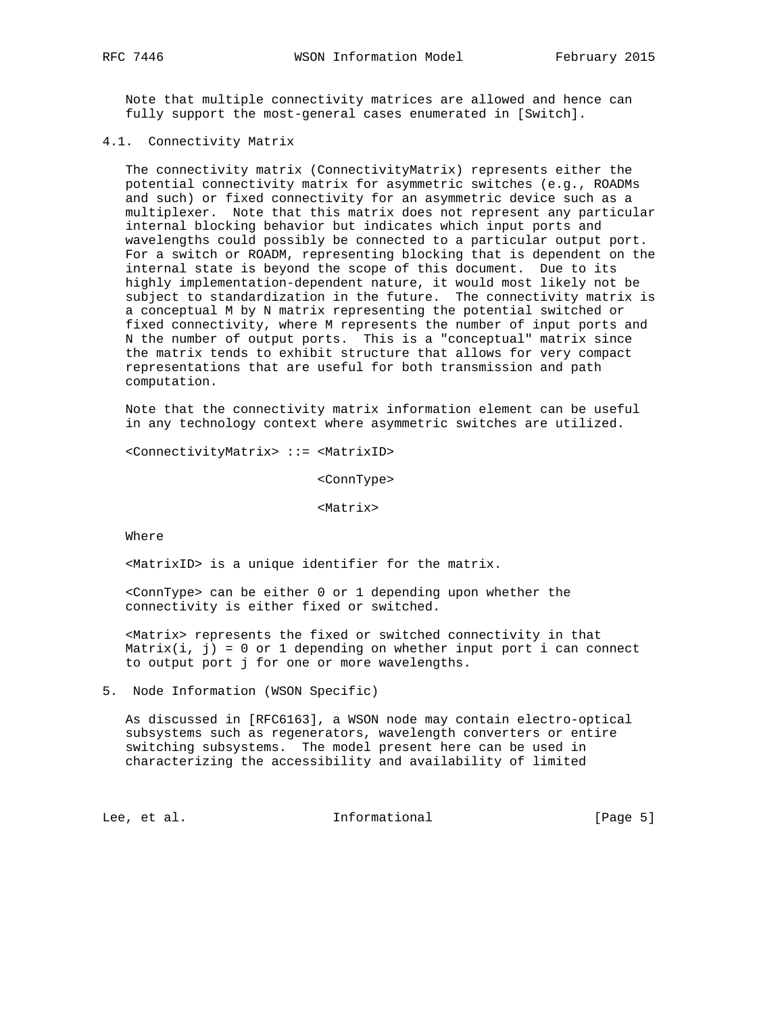Note that multiple connectivity matrices are allowed and hence can fully support the most-general cases enumerated in [Switch].

### 4.1. Connectivity Matrix

 The connectivity matrix (ConnectivityMatrix) represents either the potential connectivity matrix for asymmetric switches (e.g., ROADMs and such) or fixed connectivity for an asymmetric device such as a multiplexer. Note that this matrix does not represent any particular internal blocking behavior but indicates which input ports and wavelengths could possibly be connected to a particular output port. For a switch or ROADM, representing blocking that is dependent on the internal state is beyond the scope of this document. Due to its highly implementation-dependent nature, it would most likely not be subject to standardization in the future. The connectivity matrix is a conceptual M by N matrix representing the potential switched or fixed connectivity, where M represents the number of input ports and N the number of output ports. This is a "conceptual" matrix since the matrix tends to exhibit structure that allows for very compact representations that are useful for both transmission and path computation.

 Note that the connectivity matrix information element can be useful in any technology context where asymmetric switches are utilized.

<ConnectivityMatrix> ::= <MatrixID>

<ConnType>

<Matrix>

Where

<MatrixID> is a unique identifier for the matrix.

 <ConnType> can be either 0 or 1 depending upon whether the connectivity is either fixed or switched.

 <Matrix> represents the fixed or switched connectivity in that Matrix $(i, j) = 0$  or 1 depending on whether input port i can connect to output port j for one or more wavelengths.

5. Node Information (WSON Specific)

 As discussed in [RFC6163], a WSON node may contain electro-optical subsystems such as regenerators, wavelength converters or entire switching subsystems. The model present here can be used in characterizing the accessibility and availability of limited

Lee, et al. Informational [Page 5]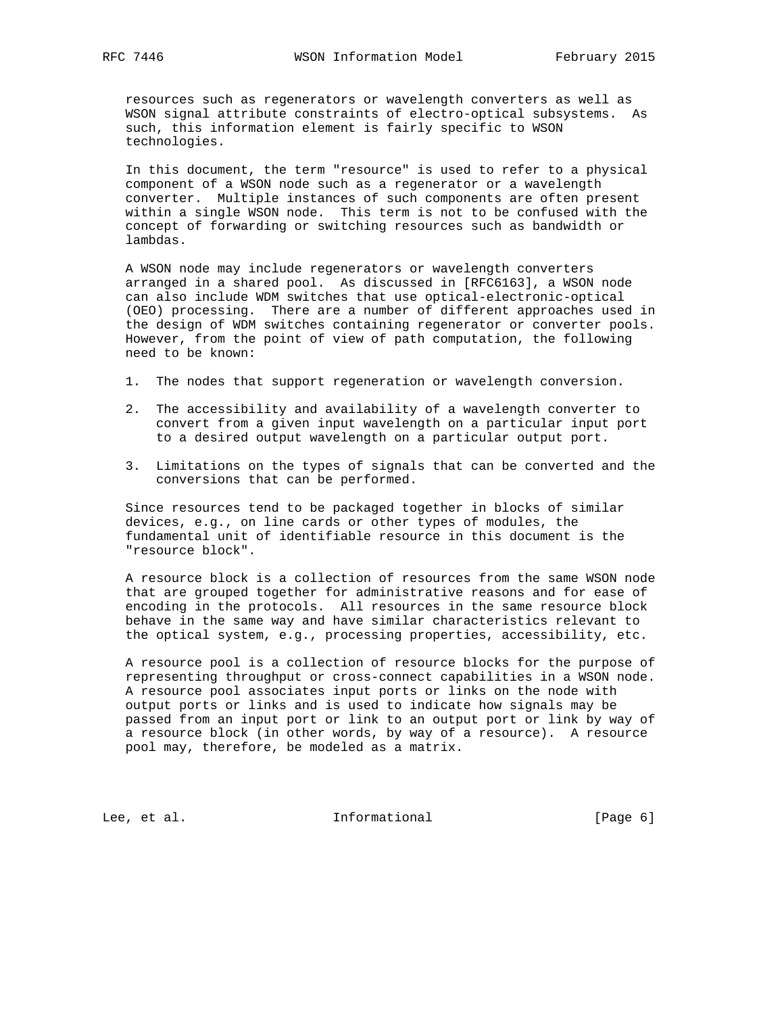resources such as regenerators or wavelength converters as well as WSON signal attribute constraints of electro-optical subsystems. As such, this information element is fairly specific to WSON technologies.

 In this document, the term "resource" is used to refer to a physical component of a WSON node such as a regenerator or a wavelength converter. Multiple instances of such components are often present within a single WSON node. This term is not to be confused with the concept of forwarding or switching resources such as bandwidth or lambdas.

 A WSON node may include regenerators or wavelength converters arranged in a shared pool. As discussed in [RFC6163], a WSON node can also include WDM switches that use optical-electronic-optical (OEO) processing. There are a number of different approaches used in the design of WDM switches containing regenerator or converter pools. However, from the point of view of path computation, the following need to be known:

- 1. The nodes that support regeneration or wavelength conversion.
- 2. The accessibility and availability of a wavelength converter to convert from a given input wavelength on a particular input port to a desired output wavelength on a particular output port.
- 3. Limitations on the types of signals that can be converted and the conversions that can be performed.

 Since resources tend to be packaged together in blocks of similar devices, e.g., on line cards or other types of modules, the fundamental unit of identifiable resource in this document is the "resource block".

 A resource block is a collection of resources from the same WSON node that are grouped together for administrative reasons and for ease of encoding in the protocols. All resources in the same resource block behave in the same way and have similar characteristics relevant to the optical system, e.g., processing properties, accessibility, etc.

 A resource pool is a collection of resource blocks for the purpose of representing throughput or cross-connect capabilities in a WSON node. A resource pool associates input ports or links on the node with output ports or links and is used to indicate how signals may be passed from an input port or link to an output port or link by way of a resource block (in other words, by way of a resource). A resource pool may, therefore, be modeled as a matrix.

Lee, et al. 10 mm informational 100 mm informational [Page 6]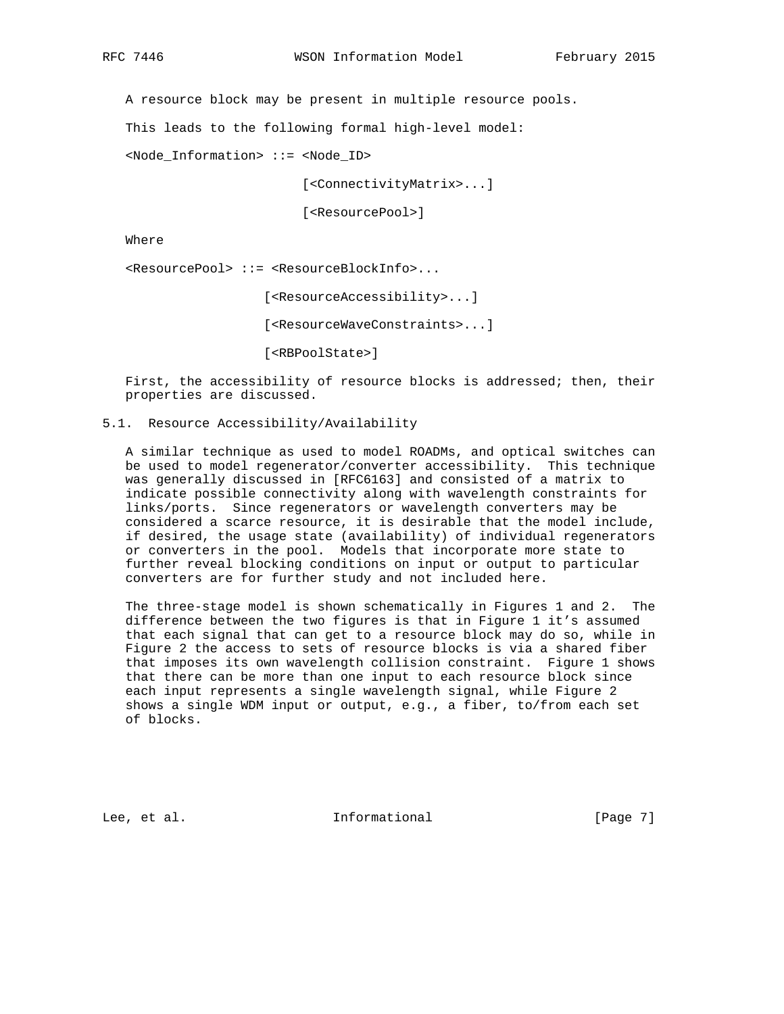A resource block may be present in multiple resource pools.

This leads to the following formal high-level model:

<Node\_Information> ::= <Node\_ID>

[<ConnectivityMatrix>...]

[<ResourcePool>]

Where

<ResourcePool> ::= <ResourceBlockInfo>...

[<ResourceAccessibility>...]

[<ResourceWaveConstraints>...]

[<RBPoolState>]

 First, the accessibility of resource blocks is addressed; then, their properties are discussed.

### 5.1. Resource Accessibility/Availability

 A similar technique as used to model ROADMs, and optical switches can be used to model regenerator/converter accessibility. This technique was generally discussed in [RFC6163] and consisted of a matrix to indicate possible connectivity along with wavelength constraints for links/ports. Since regenerators or wavelength converters may be considered a scarce resource, it is desirable that the model include, if desired, the usage state (availability) of individual regenerators or converters in the pool. Models that incorporate more state to further reveal blocking conditions on input or output to particular converters are for further study and not included here.

 The three-stage model is shown schematically in Figures 1 and 2. The difference between the two figures is that in Figure 1 it's assumed that each signal that can get to a resource block may do so, while in Figure 2 the access to sets of resource blocks is via a shared fiber that imposes its own wavelength collision constraint. Figure 1 shows that there can be more than one input to each resource block since each input represents a single wavelength signal, while Figure 2 shows a single WDM input or output, e.g., a fiber, to/from each set of blocks.

Lee, et al. Informational [Page 7]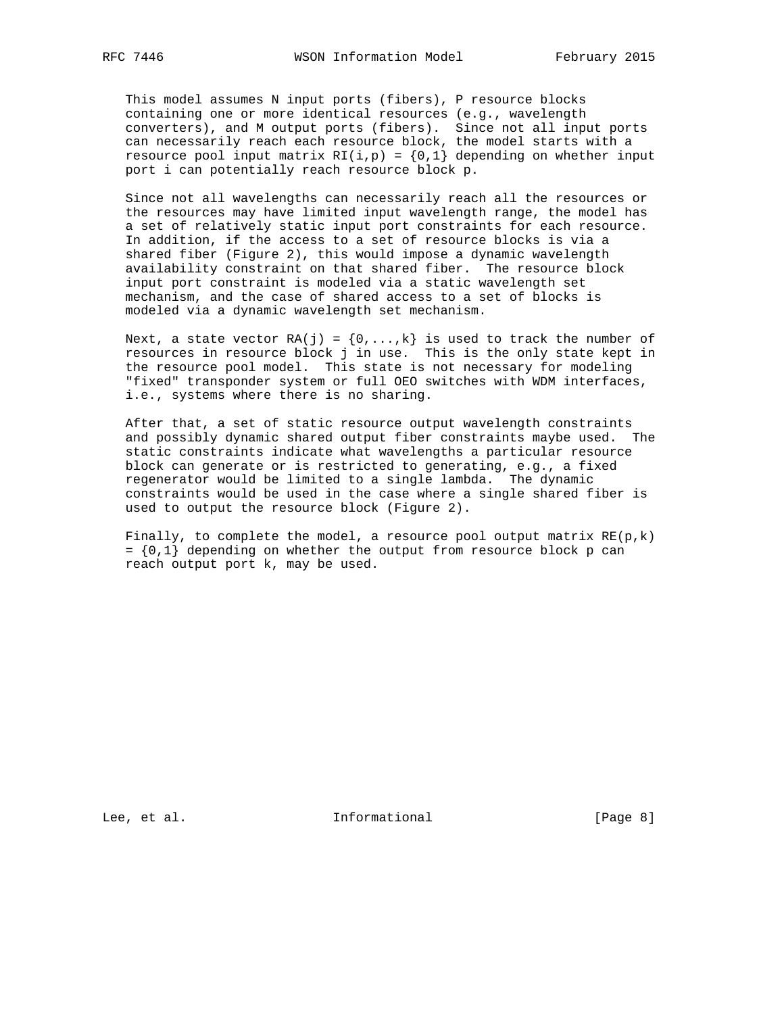This model assumes N input ports (fibers), P resource blocks containing one or more identical resources (e.g., wavelength converters), and M output ports (fibers). Since not all input ports can necessarily reach each resource block, the model starts with a resource pool input matrix  $R1(i, p) = \{0, 1\}$  depending on whether input port i can potentially reach resource block p.

 Since not all wavelengths can necessarily reach all the resources or the resources may have limited input wavelength range, the model has a set of relatively static input port constraints for each resource. In addition, if the access to a set of resource blocks is via a shared fiber (Figure 2), this would impose a dynamic wavelength availability constraint on that shared fiber. The resource block input port constraint is modeled via a static wavelength set mechanism, and the case of shared access to a set of blocks is modeled via a dynamic wavelength set mechanism.

Next, a state vector RA(j) =  $\{0, \ldots, k\}$  is used to track the number of resources in resource block j in use. This is the only state kept in the resource pool model. This state is not necessary for modeling "fixed" transponder system or full OEO switches with WDM interfaces, i.e., systems where there is no sharing.

 After that, a set of static resource output wavelength constraints and possibly dynamic shared output fiber constraints maybe used. The static constraints indicate what wavelengths a particular resource block can generate or is restricted to generating, e.g., a fixed regenerator would be limited to a single lambda. The dynamic constraints would be used in the case where a single shared fiber is used to output the resource block (Figure 2).

Finally, to complete the model, a resource pool output matrix  $RE(p, k)$  $= \{0,1\}$  depending on whether the output from resource block p can reach output port k, may be used.

Lee, et al. 10 mm informational 100 mm informational [Page 8]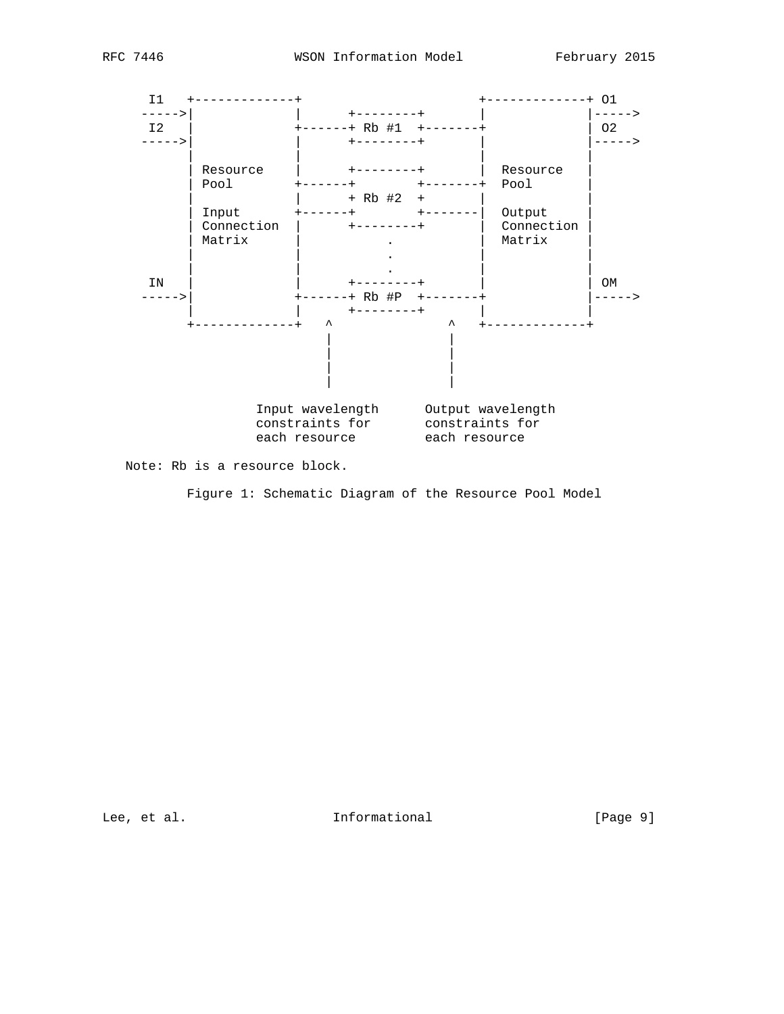

Note: Rb is a resource block.

Figure 1: Schematic Diagram of the Resource Pool Model

Lee, et al. 10 mm informational 100 mm informational [Page 9]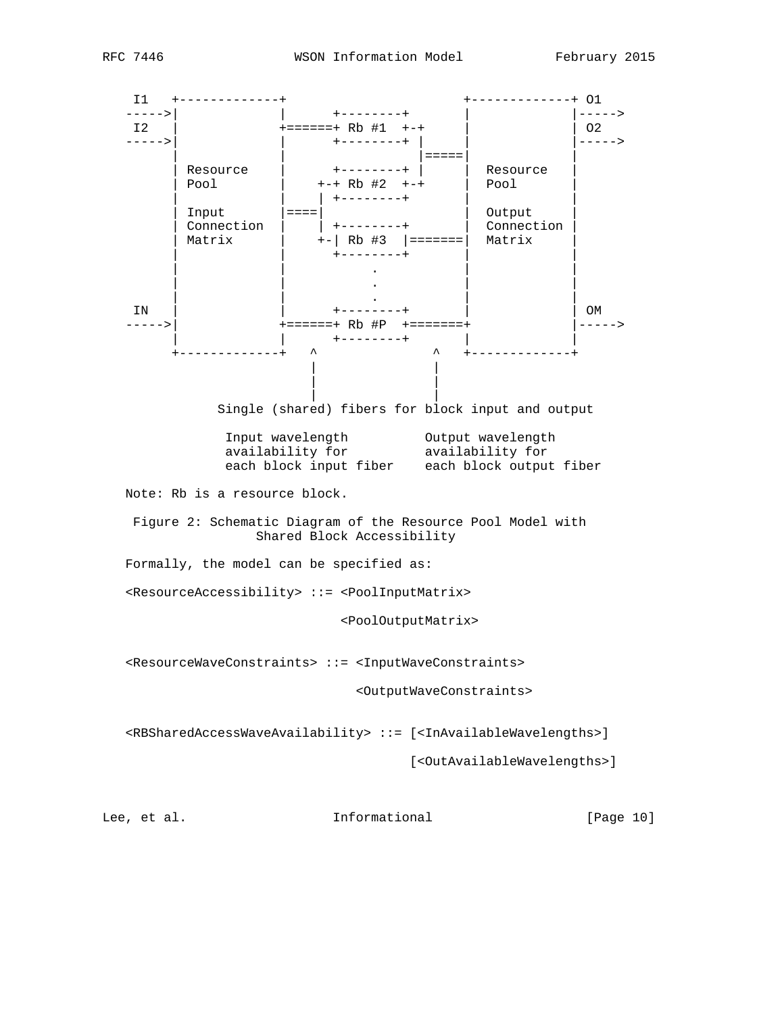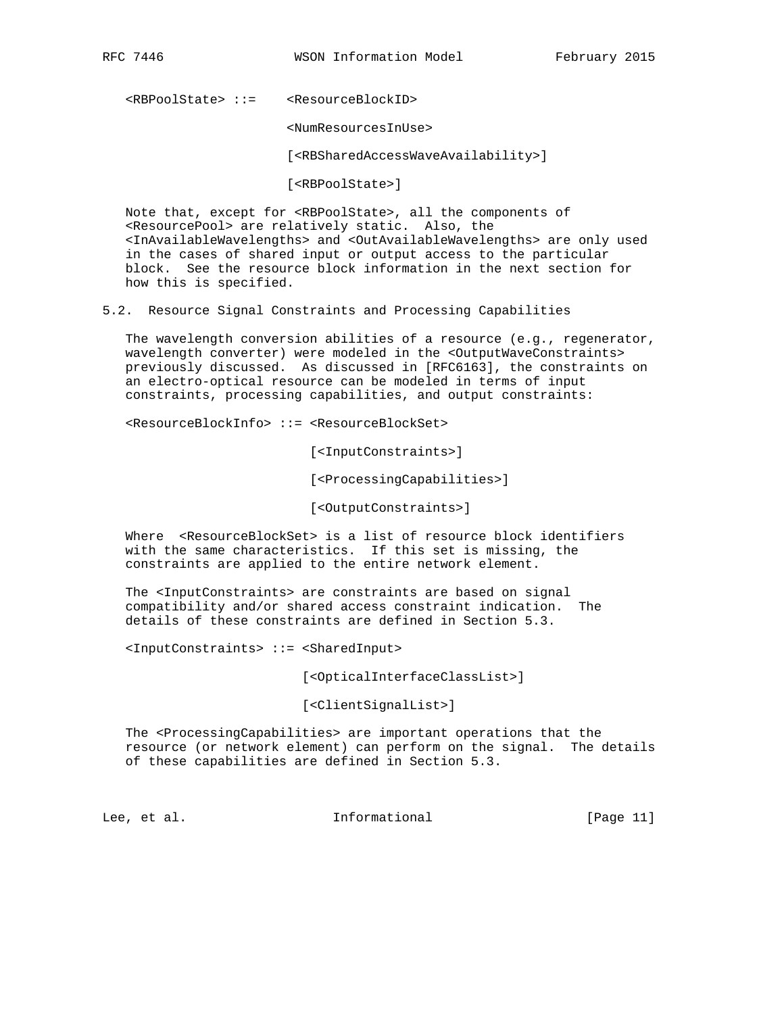<RBPoolState> ::= <ResourceBlockID>

<NumResourcesInUse>

[<RBSharedAccessWaveAvailability>]

[<RBPoolState>]

 Note that, except for <RBPoolState>, all the components of <ResourcePool> are relatively static. Also, the <InAvailableWavelengths> and <OutAvailableWavelengths> are only used in the cases of shared input or output access to the particular block. See the resource block information in the next section for how this is specified.

5.2. Resource Signal Constraints and Processing Capabilities

 The wavelength conversion abilities of a resource (e.g., regenerator, wavelength converter) were modeled in the <OutputWaveConstraints> previously discussed. As discussed in [RFC6163], the constraints on an electro-optical resource can be modeled in terms of input constraints, processing capabilities, and output constraints:

<ResourceBlockInfo> ::= <ResourceBlockSet>

[<InputConstraints>]

[<ProcessingCapabilities>]

[<OutputConstraints>]

 Where <ResourceBlockSet> is a list of resource block identifiers with the same characteristics. If this set is missing, the constraints are applied to the entire network element.

 The <InputConstraints> are constraints are based on signal compatibility and/or shared access constraint indication. The details of these constraints are defined in Section 5.3.

<InputConstraints> ::= <SharedInput>

[<OpticalInterfaceClassList>]

[<ClientSignalList>]

The <ProcessingCapabilities> are important operations that the resource (or network element) can perform on the signal. The details of these capabilities are defined in Section 5.3.

Lee, et al. Informational [Page 11]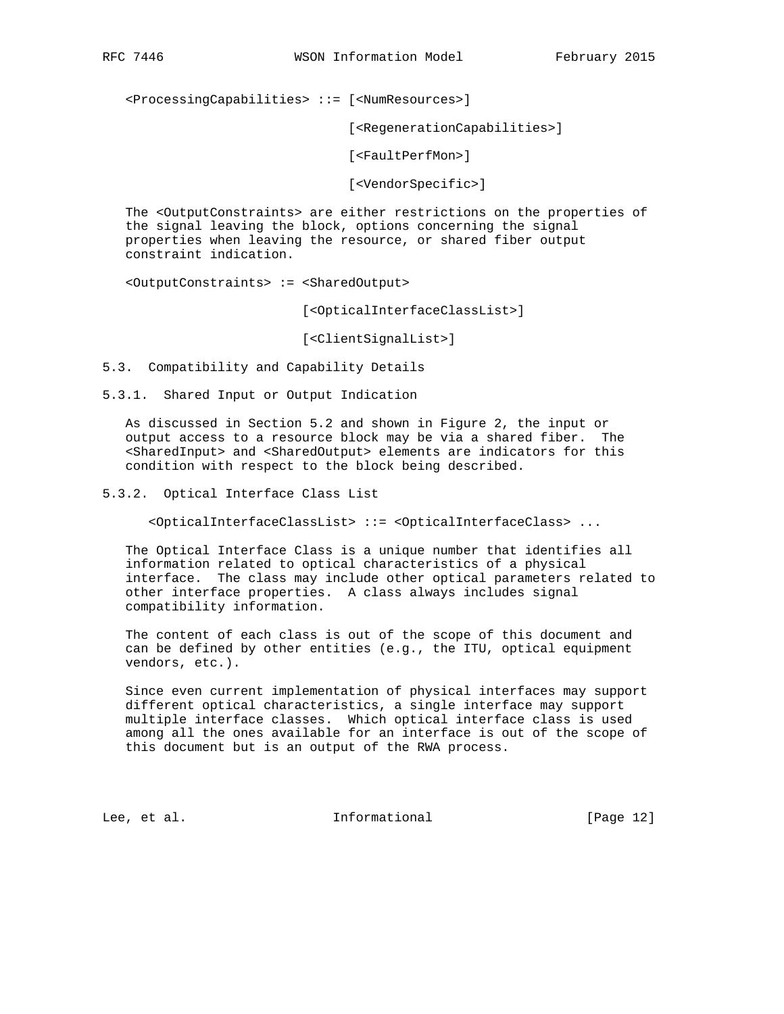<ProcessingCapabilities> ::= [<NumResources>]

[<RegenerationCapabilities>]

[<FaultPerfMon>]

[<VendorSpecific>]

 The <OutputConstraints> are either restrictions on the properties of the signal leaving the block, options concerning the signal properties when leaving the resource, or shared fiber output constraint indication.

<OutputConstraints> := <SharedOutput>

[<OpticalInterfaceClassList>]

[<ClientSignalList>]

5.3. Compatibility and Capability Details

5.3.1. Shared Input or Output Indication

 As discussed in Section 5.2 and shown in Figure 2, the input or output access to a resource block may be via a shared fiber. The <SharedInput> and <SharedOutput> elements are indicators for this condition with respect to the block being described.

5.3.2. Optical Interface Class List

<OpticalInterfaceClassList> ::= <OpticalInterfaceClass> ...

 The Optical Interface Class is a unique number that identifies all information related to optical characteristics of a physical interface. The class may include other optical parameters related to other interface properties. A class always includes signal compatibility information.

 The content of each class is out of the scope of this document and can be defined by other entities (e.g., the ITU, optical equipment vendors, etc.).

 Since even current implementation of physical interfaces may support different optical characteristics, a single interface may support multiple interface classes. Which optical interface class is used among all the ones available for an interface is out of the scope of this document but is an output of the RWA process.

Lee, et al. 10 mm informational [Page 12]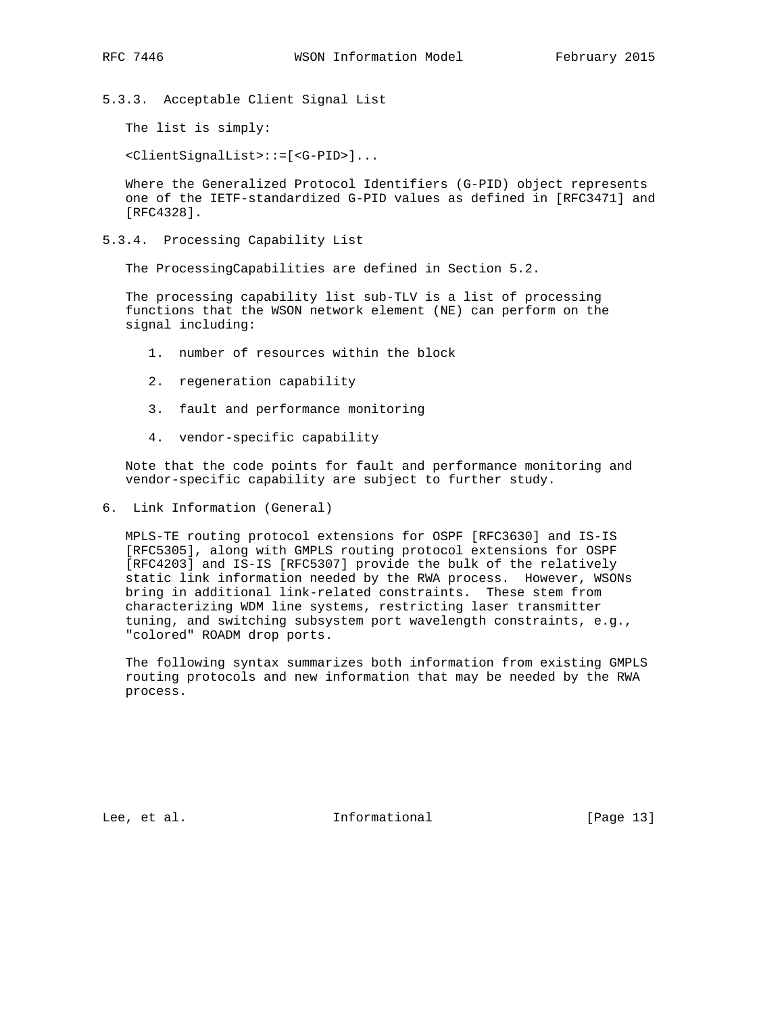5.3.3. Acceptable Client Signal List

The list is simply:

<ClientSignalList>::=[<G-PID>]...

 Where the Generalized Protocol Identifiers (G-PID) object represents one of the IETF-standardized G-PID values as defined in [RFC3471] and [RFC4328].

5.3.4. Processing Capability List

The ProcessingCapabilities are defined in Section 5.2.

 The processing capability list sub-TLV is a list of processing functions that the WSON network element (NE) can perform on the signal including:

- 1. number of resources within the block
- 2. regeneration capability
- 3. fault and performance monitoring
- 4. vendor-specific capability

 Note that the code points for fault and performance monitoring and vendor-specific capability are subject to further study.

6. Link Information (General)

 MPLS-TE routing protocol extensions for OSPF [RFC3630] and IS-IS [RFC5305], along with GMPLS routing protocol extensions for OSPF [RFC4203] and IS-IS [RFC5307] provide the bulk of the relatively static link information needed by the RWA process. However, WSONs bring in additional link-related constraints. These stem from characterizing WDM line systems, restricting laser transmitter tuning, and switching subsystem port wavelength constraints, e.g., "colored" ROADM drop ports.

 The following syntax summarizes both information from existing GMPLS routing protocols and new information that may be needed by the RWA process.

Lee, et al. Informational [Page 13]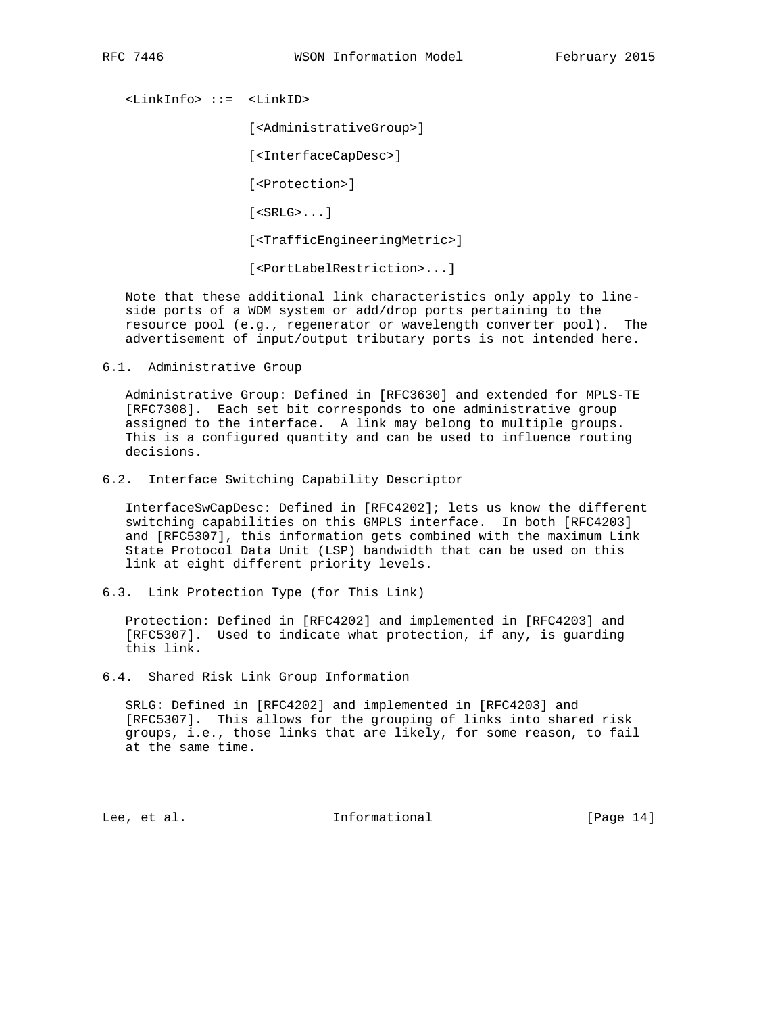<LinkInfo> ::= <LinkID>

[<AdministrativeGroup>]

[<InterfaceCapDesc>]

[<Protection>]

 $[$  <SRLG> $\dots$ ]

[<TrafficEngineeringMetric>]

[<PortLabelRestriction>...]

 Note that these additional link characteristics only apply to line side ports of a WDM system or add/drop ports pertaining to the resource pool (e.g., regenerator or wavelength converter pool). The advertisement of input/output tributary ports is not intended here.

6.1. Administrative Group

 Administrative Group: Defined in [RFC3630] and extended for MPLS-TE [RFC7308]. Each set bit corresponds to one administrative group assigned to the interface. A link may belong to multiple groups. This is a configured quantity and can be used to influence routing decisions.

6.2. Interface Switching Capability Descriptor

 InterfaceSwCapDesc: Defined in [RFC4202]; lets us know the different switching capabilities on this GMPLS interface. In both [RFC4203] and [RFC5307], this information gets combined with the maximum Link State Protocol Data Unit (LSP) bandwidth that can be used on this link at eight different priority levels.

6.3. Link Protection Type (for This Link)

 Protection: Defined in [RFC4202] and implemented in [RFC4203] and [RFC5307]. Used to indicate what protection, if any, is guarding this link.

6.4. Shared Risk Link Group Information

 SRLG: Defined in [RFC4202] and implemented in [RFC4203] and [RFC5307]. This allows for the grouping of links into shared risk groups, i.e., those links that are likely, for some reason, to fail at the same time.

Lee, et al. 10 mm informational [Page 14]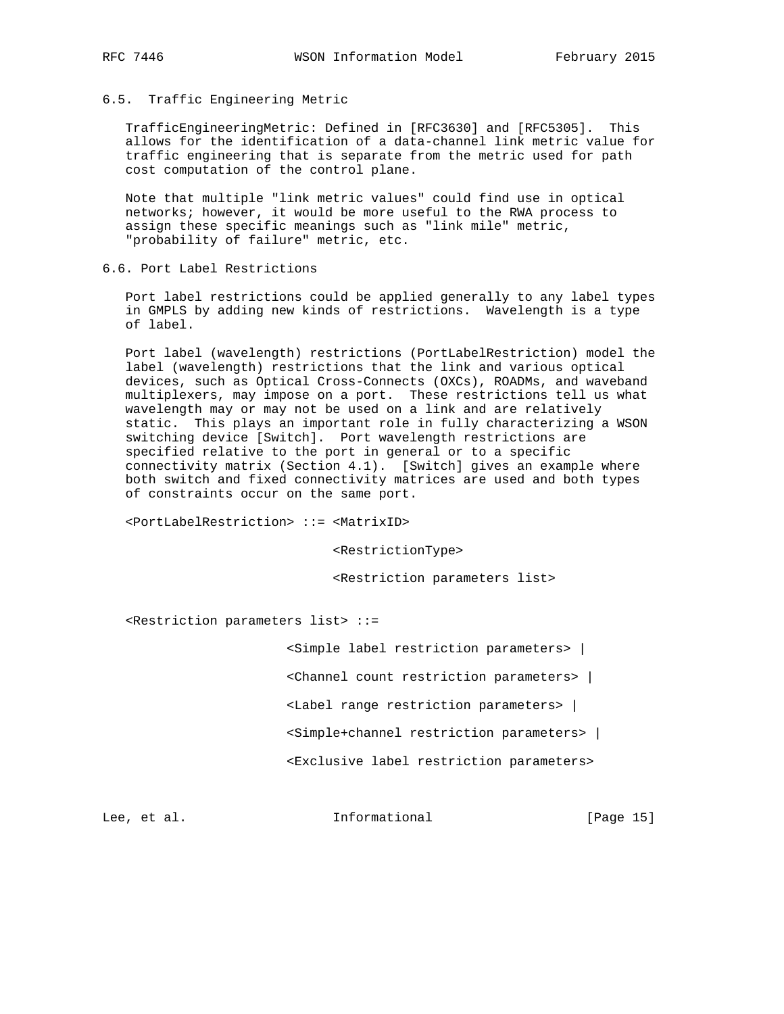## 6.5. Traffic Engineering Metric

 TrafficEngineeringMetric: Defined in [RFC3630] and [RFC5305]. This allows for the identification of a data-channel link metric value for traffic engineering that is separate from the metric used for path cost computation of the control plane.

 Note that multiple "link metric values" could find use in optical networks; however, it would be more useful to the RWA process to assign these specific meanings such as "link mile" metric, "probability of failure" metric, etc.

6.6. Port Label Restrictions

 Port label restrictions could be applied generally to any label types in GMPLS by adding new kinds of restrictions. Wavelength is a type of label.

 Port label (wavelength) restrictions (PortLabelRestriction) model the label (wavelength) restrictions that the link and various optical devices, such as Optical Cross-Connects (OXCs), ROADMs, and waveband multiplexers, may impose on a port. These restrictions tell us what wavelength may or may not be used on a link and are relatively static. This plays an important role in fully characterizing a WSON switching device [Switch]. Port wavelength restrictions are specified relative to the port in general or to a specific connectivity matrix (Section 4.1). [Switch] gives an example where both switch and fixed connectivity matrices are used and both types of constraints occur on the same port.

<PortLabelRestriction> ::= <MatrixID>

<RestrictionType>

<Restriction parameters list>

<Restriction parameters list> ::=

<Simple label restriction parameters> |

<Channel count restriction parameters> |

<Label range restriction parameters> |

<Simple+channel restriction parameters> |

<Exclusive label restriction parameters>

Lee, et al. Informational [Page 15]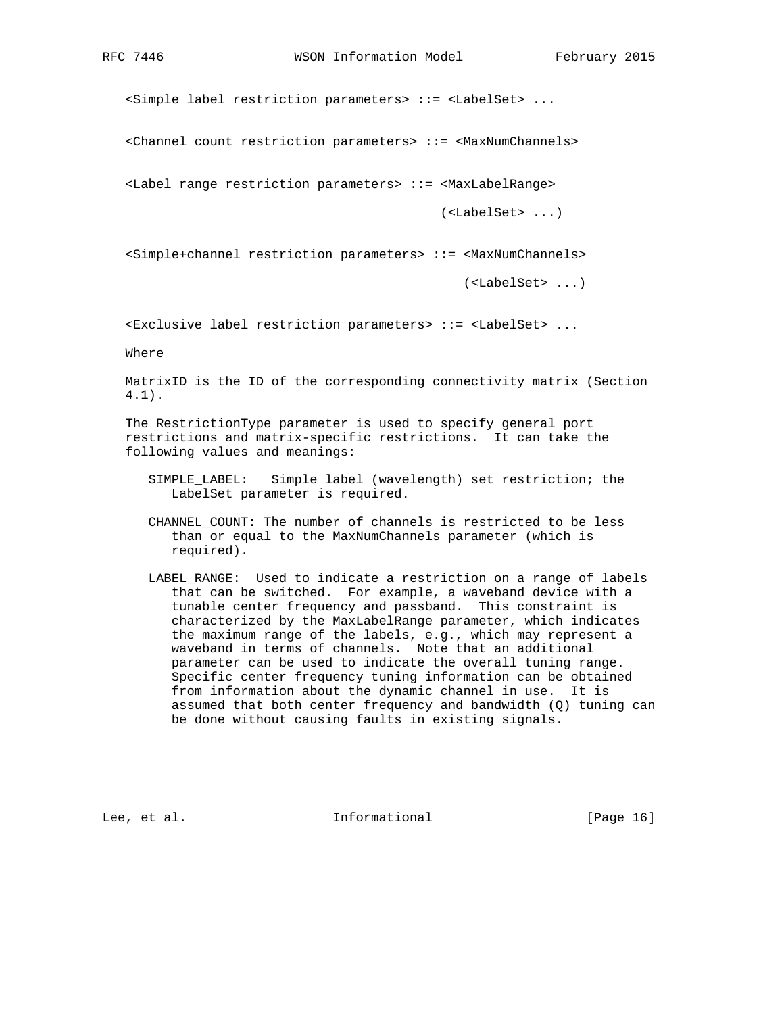<Simple label restriction parameters> ::= <LabelSet> ...

<Channel count restriction parameters> ::= <MaxNumChannels>

<Label range restriction parameters> ::= <MaxLabelRange>

(<LabelSet> ...)

<Simple+channel restriction parameters> ::= <MaxNumChannels>

(<LabelSet> ...)

<Exclusive label restriction parameters> ::= <LabelSet> ...

Where

 MatrixID is the ID of the corresponding connectivity matrix (Section 4.1).

 The RestrictionType parameter is used to specify general port restrictions and matrix-specific restrictions. It can take the following values and meanings:

 SIMPLE\_LABEL: Simple label (wavelength) set restriction; the LabelSet parameter is required.

CHANNEL COUNT: The number of channels is restricted to be less than or equal to the MaxNumChannels parameter (which is required).

 LABEL\_RANGE: Used to indicate a restriction on a range of labels that can be switched. For example, a waveband device with a tunable center frequency and passband. This constraint is characterized by the MaxLabelRange parameter, which indicates the maximum range of the labels, e.g., which may represent a waveband in terms of channels. Note that an additional parameter can be used to indicate the overall tuning range. Specific center frequency tuning information can be obtained from information about the dynamic channel in use. It is assumed that both center frequency and bandwidth (Q) tuning can be done without causing faults in existing signals.

Lee, et al. Informational [Page 16]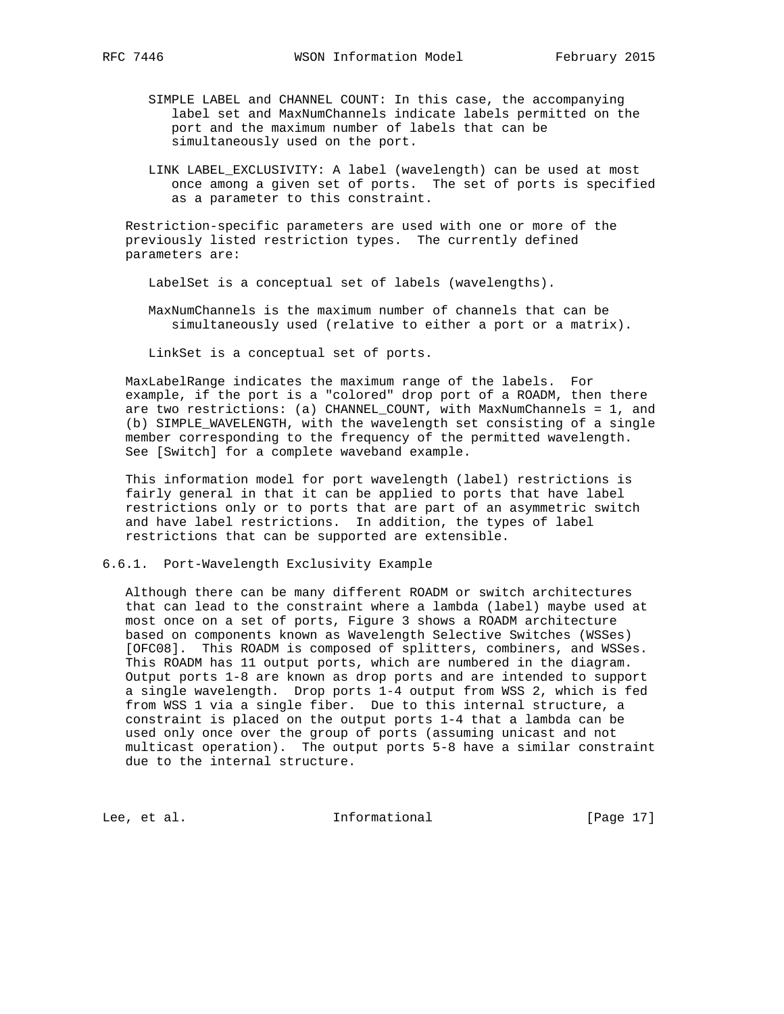- SIMPLE LABEL and CHANNEL COUNT: In this case, the accompanying label set and MaxNumChannels indicate labels permitted on the port and the maximum number of labels that can be simultaneously used on the port.
- LINK LABEL\_EXCLUSIVITY: A label (wavelength) can be used at most once among a given set of ports. The set of ports is specified as a parameter to this constraint.

 Restriction-specific parameters are used with one or more of the previously listed restriction types. The currently defined parameters are:

LabelSet is a conceptual set of labels (wavelengths).

 MaxNumChannels is the maximum number of channels that can be simultaneously used (relative to either a port or a matrix).

LinkSet is a conceptual set of ports.

 MaxLabelRange indicates the maximum range of the labels. For example, if the port is a "colored" drop port of a ROADM, then there are two restrictions: (a) CHANNEL\_COUNT, with MaxNumChannels = 1, and (b) SIMPLE\_WAVELENGTH, with the wavelength set consisting of a single member corresponding to the frequency of the permitted wavelength. See [Switch] for a complete waveband example.

 This information model for port wavelength (label) restrictions is fairly general in that it can be applied to ports that have label restrictions only or to ports that are part of an asymmetric switch and have label restrictions. In addition, the types of label restrictions that can be supported are extensible.

6.6.1. Port-Wavelength Exclusivity Example

 Although there can be many different ROADM or switch architectures that can lead to the constraint where a lambda (label) maybe used at most once on a set of ports, Figure 3 shows a ROADM architecture based on components known as Wavelength Selective Switches (WSSes) [OFC08]. This ROADM is composed of splitters, combiners, and WSSes. This ROADM has 11 output ports, which are numbered in the diagram. Output ports 1-8 are known as drop ports and are intended to support a single wavelength. Drop ports 1-4 output from WSS 2, which is fed from WSS 1 via a single fiber. Due to this internal structure, a constraint is placed on the output ports 1-4 that a lambda can be used only once over the group of ports (assuming unicast and not multicast operation). The output ports 5-8 have a similar constraint due to the internal structure.

Lee, et al. 10. Informational [Page 17]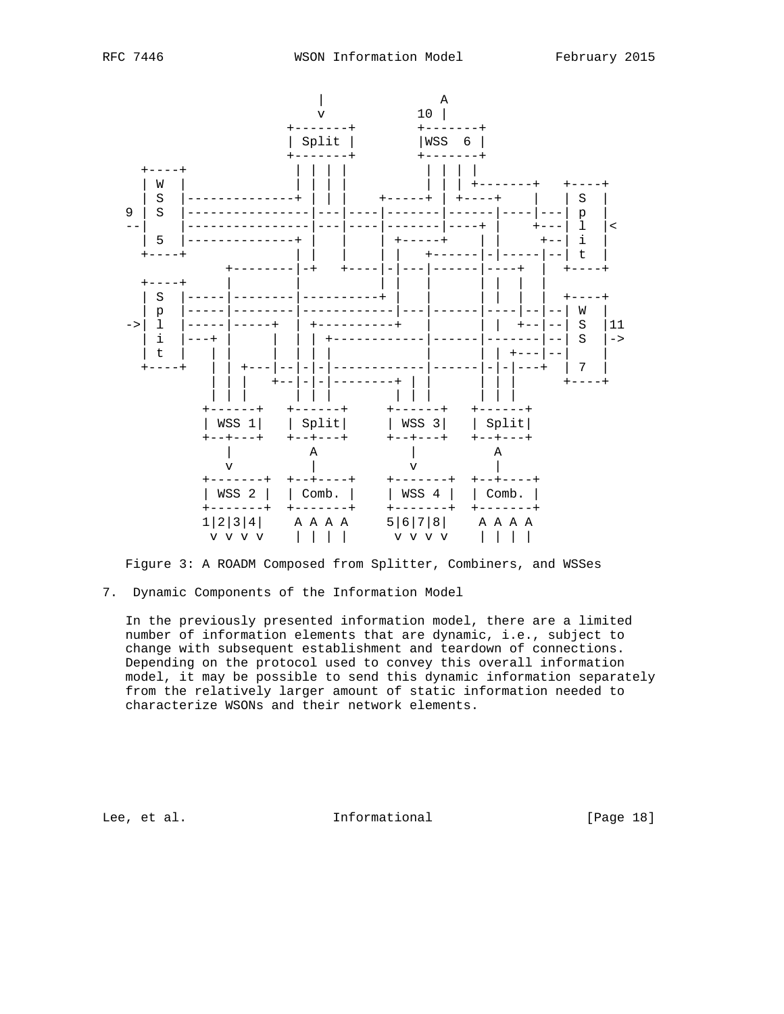

Figure 3: A ROADM Composed from Splitter, Combiners, and WSSes

7. Dynamic Components of the Information Model

 In the previously presented information model, there are a limited number of information elements that are dynamic, i.e., subject to change with subsequent establishment and teardown of connections. Depending on the protocol used to convey this overall information model, it may be possible to send this dynamic information separately from the relatively larger amount of static information needed to characterize WSONs and their network elements.

Lee, et al. 10 mm informational [Page 18]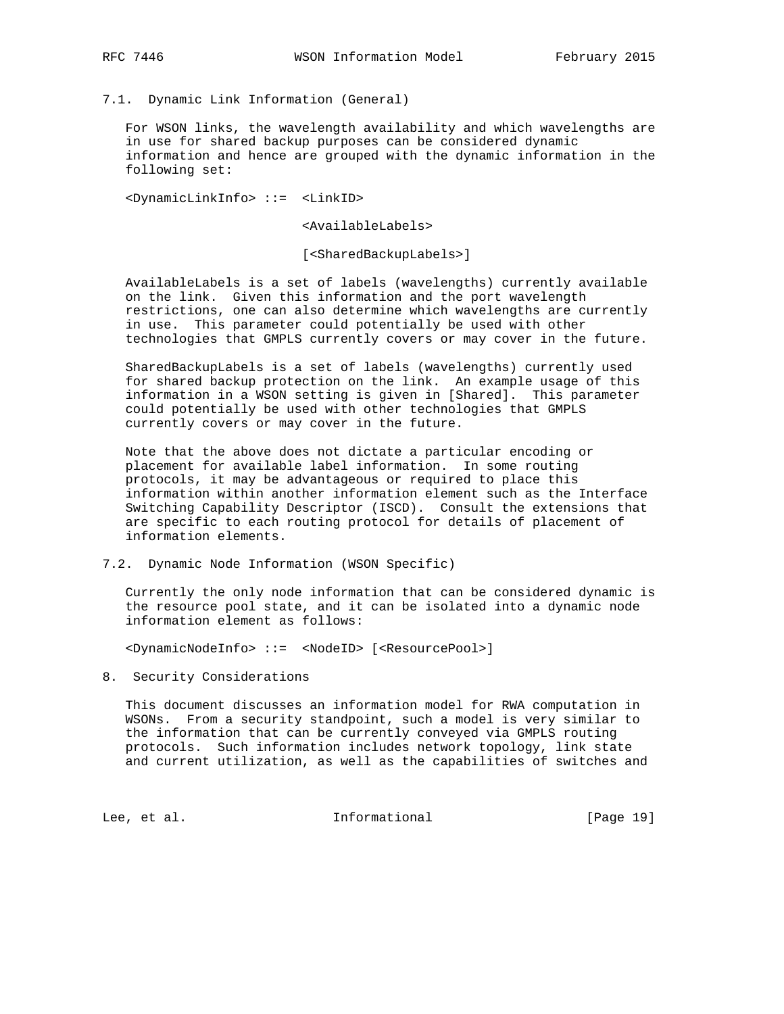# 7.1. Dynamic Link Information (General)

 For WSON links, the wavelength availability and which wavelengths are in use for shared backup purposes can be considered dynamic information and hence are grouped with the dynamic information in the following set:

<DynamicLinkInfo> ::= <LinkID>

<AvailableLabels>

[<SharedBackupLabels>]

 AvailableLabels is a set of labels (wavelengths) currently available on the link. Given this information and the port wavelength restrictions, one can also determine which wavelengths are currently in use. This parameter could potentially be used with other technologies that GMPLS currently covers or may cover in the future.

 SharedBackupLabels is a set of labels (wavelengths) currently used for shared backup protection on the link. An example usage of this information in a WSON setting is given in [Shared]. This parameter could potentially be used with other technologies that GMPLS currently covers or may cover in the future.

 Note that the above does not dictate a particular encoding or placement for available label information. In some routing protocols, it may be advantageous or required to place this information within another information element such as the Interface Switching Capability Descriptor (ISCD). Consult the extensions that are specific to each routing protocol for details of placement of information elements.

7.2. Dynamic Node Information (WSON Specific)

 Currently the only node information that can be considered dynamic is the resource pool state, and it can be isolated into a dynamic node information element as follows:

<DynamicNodeInfo> ::= <NodeID> [<ResourcePool>]

8. Security Considerations

 This document discusses an information model for RWA computation in WSONs. From a security standpoint, such a model is very similar to the information that can be currently conveyed via GMPLS routing protocols. Such information includes network topology, link state and current utilization, as well as the capabilities of switches and

Lee, et al. 10 mm informational [Page 19]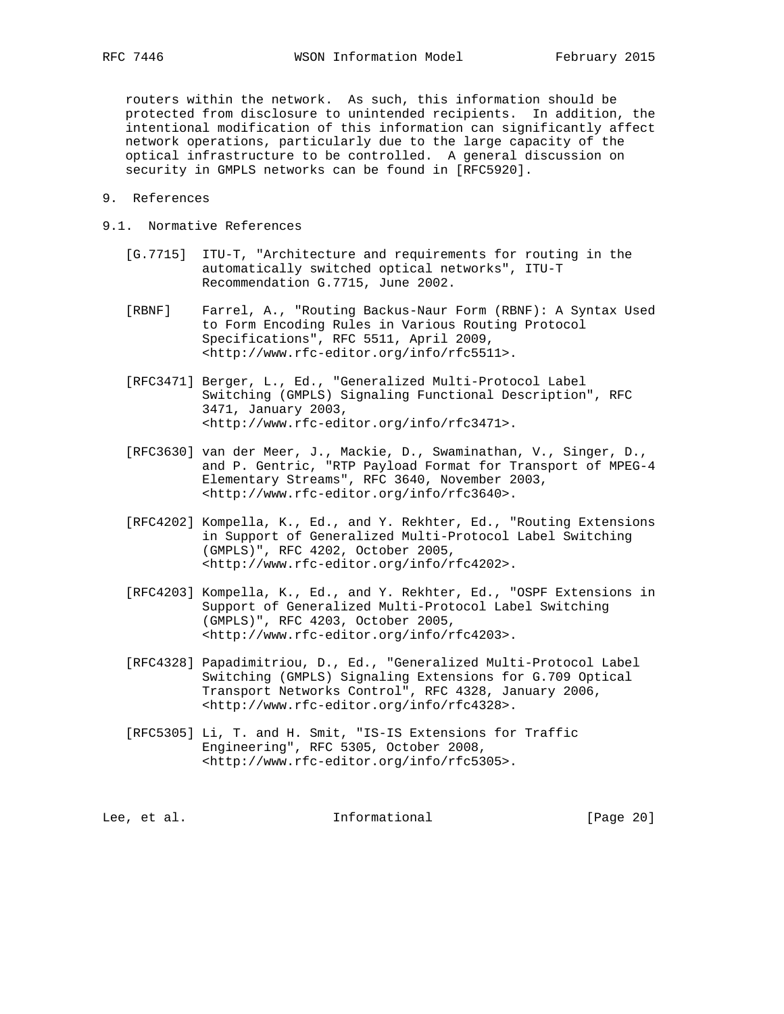routers within the network. As such, this information should be protected from disclosure to unintended recipients. In addition, the intentional modification of this information can significantly affect network operations, particularly due to the large capacity of the optical infrastructure to be controlled. A general discussion on security in GMPLS networks can be found in [RFC5920].

- 9. References
- 9.1. Normative References
	- [G.7715] ITU-T, "Architecture and requirements for routing in the automatically switched optical networks", ITU-T Recommendation G.7715, June 2002.
	- [RBNF] Farrel, A., "Routing Backus-Naur Form (RBNF): A Syntax Used to Form Encoding Rules in Various Routing Protocol Specifications", RFC 5511, April 2009, <http://www.rfc-editor.org/info/rfc5511>.
	- [RFC3471] Berger, L., Ed., "Generalized Multi-Protocol Label Switching (GMPLS) Signaling Functional Description", RFC 3471, January 2003, <http://www.rfc-editor.org/info/rfc3471>.
	- [RFC3630] van der Meer, J., Mackie, D., Swaminathan, V., Singer, D., and P. Gentric, "RTP Payload Format for Transport of MPEG-4 Elementary Streams", RFC 3640, November 2003, <http://www.rfc-editor.org/info/rfc3640>.
	- [RFC4202] Kompella, K., Ed., and Y. Rekhter, Ed., "Routing Extensions in Support of Generalized Multi-Protocol Label Switching (GMPLS)", RFC 4202, October 2005, <http://www.rfc-editor.org/info/rfc4202>.
	- [RFC4203] Kompella, K., Ed., and Y. Rekhter, Ed., "OSPF Extensions in Support of Generalized Multi-Protocol Label Switching (GMPLS)", RFC 4203, October 2005, <http://www.rfc-editor.org/info/rfc4203>.
	- [RFC4328] Papadimitriou, D., Ed., "Generalized Multi-Protocol Label Switching (GMPLS) Signaling Extensions for G.709 Optical Transport Networks Control", RFC 4328, January 2006, <http://www.rfc-editor.org/info/rfc4328>.
	- [RFC5305] Li, T. and H. Smit, "IS-IS Extensions for Traffic Engineering", RFC 5305, October 2008, <http://www.rfc-editor.org/info/rfc5305>.

Lee, et al. Informational [Page 20]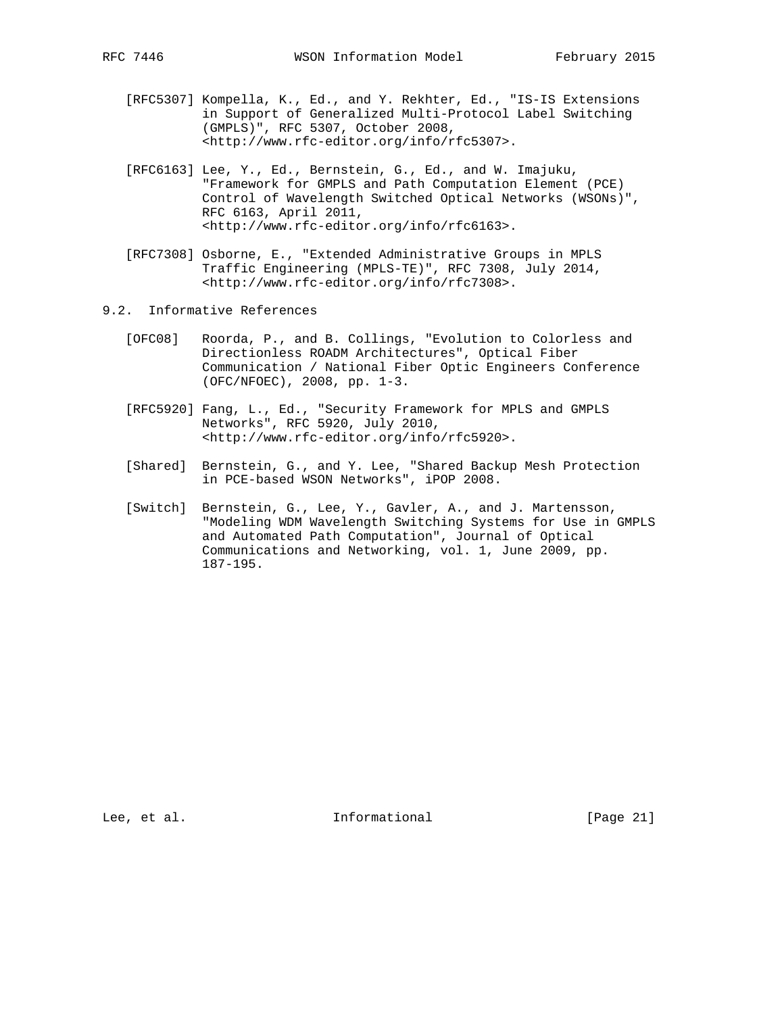- [RFC5307] Kompella, K., Ed., and Y. Rekhter, Ed., "IS-IS Extensions in Support of Generalized Multi-Protocol Label Switching (GMPLS)", RFC 5307, October 2008, <http://www.rfc-editor.org/info/rfc5307>.
- [RFC6163] Lee, Y., Ed., Bernstein, G., Ed., and W. Imajuku, "Framework for GMPLS and Path Computation Element (PCE) Control of Wavelength Switched Optical Networks (WSONs)", RFC 6163, April 2011, <http://www.rfc-editor.org/info/rfc6163>.
- [RFC7308] Osborne, E., "Extended Administrative Groups in MPLS Traffic Engineering (MPLS-TE)", RFC 7308, July 2014, <http://www.rfc-editor.org/info/rfc7308>.
- 9.2. Informative References
	- [OFC08] Roorda, P., and B. Collings, "Evolution to Colorless and Directionless ROADM Architectures", Optical Fiber Communication / National Fiber Optic Engineers Conference (OFC/NFOEC), 2008, pp. 1-3.
	- [RFC5920] Fang, L., Ed., "Security Framework for MPLS and GMPLS Networks", RFC 5920, July 2010, <http://www.rfc-editor.org/info/rfc5920>.
	- [Shared] Bernstein, G., and Y. Lee, "Shared Backup Mesh Protection in PCE-based WSON Networks", iPOP 2008.
	- [Switch] Bernstein, G., Lee, Y., Gavler, A., and J. Martensson, "Modeling WDM Wavelength Switching Systems for Use in GMPLS and Automated Path Computation", Journal of Optical Communications and Networking, vol. 1, June 2009, pp. 187-195.

Lee, et al. Informational [Page 21]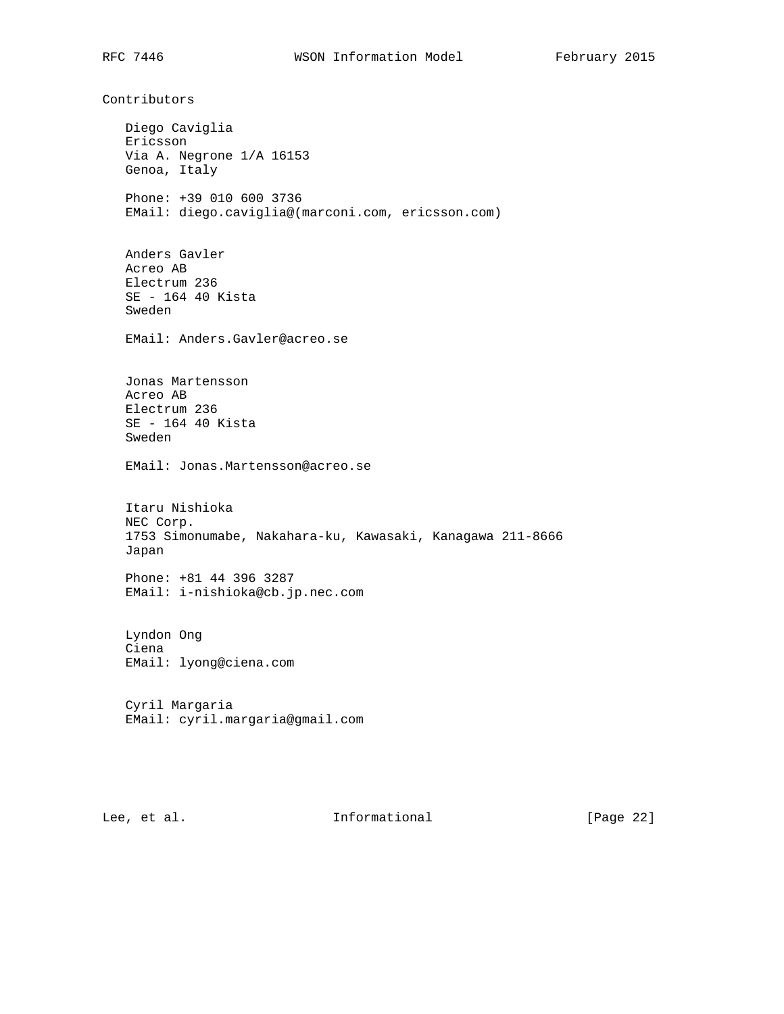Contributors Diego Caviglia Ericsson Via A. Negrone 1/A 16153 Genoa, Italy Phone: +39 010 600 3736 EMail: diego.caviglia@(marconi.com, ericsson.com) Anders Gavler Acreo AB Electrum 236 SE - 164 40 Kista Sweden EMail: Anders.Gavler@acreo.se Jonas Martensson Acreo AB Electrum 236 SE - 164 40 Kista Sweden EMail: Jonas.Martensson@acreo.se Itaru Nishioka NEC Corp. 1753 Simonumabe, Nakahara-ku, Kawasaki, Kanagawa 211-8666 Japan Phone: +81 44 396 3287 EMail: i-nishioka@cb.jp.nec.com Lyndon Ong Ciena EMail: lyong@ciena.com Cyril Margaria EMail: cyril.margaria@gmail.com

Lee, et al. Informational [Page 22]